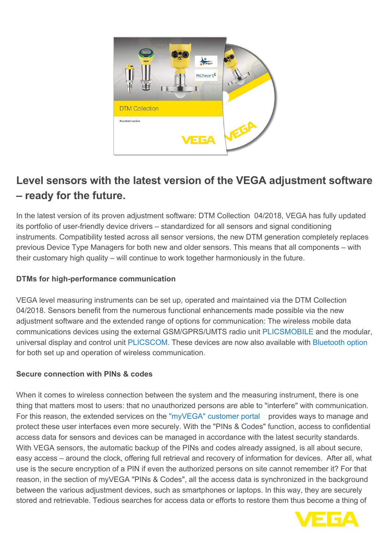

## **Level sensors with the latest version of the VEGA adjustment software – ready for the future.**

In the latest version of its proven adjustment software: DTM Collection 04/2018, VEGA has fully updated its portfolio of user-friendly device drivers – standardized for all sensors and signal conditioning instruments. Compatibility tested across all sensor versions, the new DTM generation completely replaces previous Device Type Managers for both new and older sensors. This means that all components – with their customary high quality – will continue to work together harmoniously in the future.

## **DTMs for high-performance communication**

VEGA level measuring instruments can be set up, operated and maintained via the DTM Collection 04/2018. Sensors benefit from the numerous functional enhancements made possible via the new adjustment software and the extended range of options for communication: The wireless mobile data communications devices using the external GSM/GPRS/UMTS radio unit [PLICSMOBILE](http://localhost/en-us/products/product-catalog/signal-conditioning/wireless-communication/plicsmobile-t81) and the modular, universal display and control unit [PLICSCOM.](http://localhost/en-us/products/product-catalog/signal-conditioning/indicating-instruments/plicscom) These devices are now also available with [Bluetooth option](http://localhost/en-us/products/product-catalog/signal-conditioning/indicating-instruments/plicscom/plicscom-now-with-bluetooth) for both set up and operation of wireless communication.

## **Secure connection with PINs & codes**

When it comes to wireless connection between the system and the measuring instrument, there is one thing that matters most to users: that no unauthorized persons are able to "interfere" with communication. For this reason, the extended services on the ["myVEGA" customer portal](http://localhost/en-us/myvega) provides ways to manage and protect these user interfaces even more securely. With the "PINs & Codes" function, access to confidential access data for sensors and devices can be managed in accordance with the latest security standards. With VEGA sensors, the automatic backup of the PINs and codes already assigned, is all about secure, easy access – around the clock, offering full retrieval and recovery of information for devices. After all, what use is the secure encryption of a PIN if even the authorized persons on site cannot remember it? For that reason, in the section of myVEGA "PINs & Codes", all the access data is synchronized in the background between the various adjustment devices, such as smartphones or laptops. In this way, they are securely stored and retrievable. Tedious searches for access data or efforts to restore them thus become a thing of